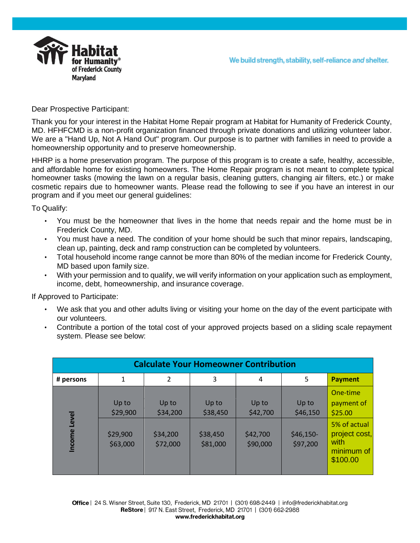



Dear Prospective Participant:

Thank you for your interest in the Habitat Home Repair program at Habitat for Humanity of Frederick County, MD. HFHFCMD is a non-profit organization financed through private donations and utilizing volunteer labor. We are a "Hand Up, Not A Hand Out" program. Our purpose is to partner with families in need to provide a homeownership opportunity and to preserve homeownership.

HHRP is a home preservation program. The purpose of this program is to create a safe, healthy, accessible, and affordable home for existing homeowners. The Home Repair program is not meant to complete typical homeowner tasks (mowing the lawn on a regular basis, cleaning gutters, changing air filters, etc.) or make cosmetic repairs due to homeowner wants. Please read the following to see if you have an interest in our program and if you meet our general guidelines:

To Qualify:

- You must be the homeowner that lives in the home that needs repair and the home must be in Frederick County, MD.
- You must have a need. The condition of your home should be such that minor repairs, landscaping, clean up, painting, deck and ramp construction can be completed by volunteers.
- Total household income range cannot be more than 80% of the median income for Frederick County, MD based upon family size.
- With your permission and to qualify, we will verify information on your application such as employment, income, debt, homeownership, and insurance coverage.

If Approved to Participate:

- We ask that you and other adults living or visiting your home on the day of the event participate with our volunteers.
- Contribute a portion of the total cost of your approved projects based on a sliding scale repayment system. Please see below:

| <b>Calculate Your Homeowner Contribution</b> |                      |                      |                      |                      |                        |                                                                 |
|----------------------------------------------|----------------------|----------------------|----------------------|----------------------|------------------------|-----------------------------------------------------------------|
| # persons                                    | 1                    | 2                    | 3                    | 4                    | 5                      | <b>Payment</b>                                                  |
|                                              | Up to<br>\$29,900    | Up to<br>\$34,200    | Up to<br>\$38,450    | Up to<br>\$42,700    | Up to<br>\$46,150      | One-time<br>payment of<br>\$25.00                               |
| <b>Level</b><br>Income                       | \$29,900<br>\$63,000 | \$34,200<br>\$72,000 | \$38,450<br>\$81,000 | \$42,700<br>\$90,000 | $$46,150-$<br>\$97,200 | 5% of actual<br>project cost,<br>with<br>minimum of<br>\$100.00 |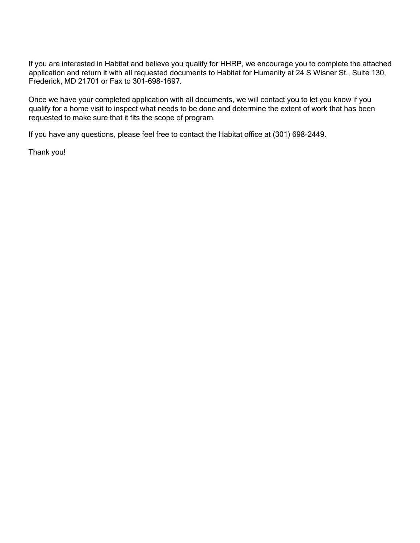If you are interested in Habitat and believe you qualify for HHRP, we encourage you to complete the attached application and return it with all requested documents to Habitat for Humanity at 24 S Wisner St., Suite 130, Frederick, MD 21701 or Fax to 301-698-1697.

Once we have your completed application with all documents, we will contact you to let you know if you qualify for a home visit to inspect what needs to be done and determine the extent of work that has been requested to make sure that it fits the scope of program.

If you have any questions, please feel free to contact the Habitat office at (301) 698-2449.

Thank you!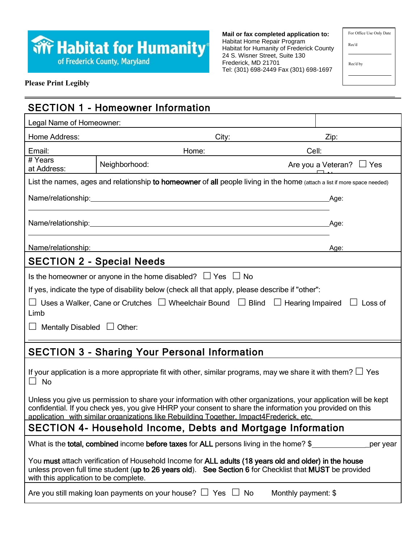# **Trive Habitat for Humanity**

**Mail or fax completed application to:**  Habitat Home Repair Program Habitat for Humanity of Frederick County 24 S. Wisner Street, Suite 130 Frederick, MD 21701 Tel: (301) 698-2449 Fax (301) 698-1697

For Office Use Only Date

Rec'd by

Rec'd

#### **Please Print Legibly**

|                                                                                                                                                                                                                                                                                                                        | <b>SECTION 1 - Homeowner Information</b>                                                                                                                                                                                                                               |                     |                               |  |
|------------------------------------------------------------------------------------------------------------------------------------------------------------------------------------------------------------------------------------------------------------------------------------------------------------------------|------------------------------------------------------------------------------------------------------------------------------------------------------------------------------------------------------------------------------------------------------------------------|---------------------|-------------------------------|--|
| Legal Name of Homeowner:                                                                                                                                                                                                                                                                                               |                                                                                                                                                                                                                                                                        |                     |                               |  |
| Home Address:                                                                                                                                                                                                                                                                                                          |                                                                                                                                                                                                                                                                        | City:               | Zip:                          |  |
| Email:                                                                                                                                                                                                                                                                                                                 | Home:                                                                                                                                                                                                                                                                  | Cell:               |                               |  |
| # Years<br>at Address:                                                                                                                                                                                                                                                                                                 | Neighborhood:                                                                                                                                                                                                                                                          |                     | Are you a Veteran? $\Box$ Yes |  |
|                                                                                                                                                                                                                                                                                                                        | List the names, ages and relationship to homeowner of all people living in the home (attach a list if more space needed)                                                                                                                                               |                     |                               |  |
|                                                                                                                                                                                                                                                                                                                        |                                                                                                                                                                                                                                                                        |                     | Age:                          |  |
|                                                                                                                                                                                                                                                                                                                        |                                                                                                                                                                                                                                                                        |                     | Age:                          |  |
| Name/relationship:                                                                                                                                                                                                                                                                                                     |                                                                                                                                                                                                                                                                        |                     | Age:                          |  |
|                                                                                                                                                                                                                                                                                                                        | <b>SECTION 2 - Special Needs</b>                                                                                                                                                                                                                                       |                     |                               |  |
| Limb<br>Mentally Disabled $\Box$ Other:                                                                                                                                                                                                                                                                                | Is the homeowner or anyone in the home disabled? $\Box$ Yes $\Box$ No<br>If yes, indicate the type of disability below (check all that apply, please describe if "other":<br>□ Uses a Walker, Cane or Crutches □ Wheelchair Bound □ Blind □ Hearing Impaired □ Loss of |                     |                               |  |
|                                                                                                                                                                                                                                                                                                                        | <b>SECTION 3 - Sharing Your Personal Information</b>                                                                                                                                                                                                                   |                     |                               |  |
| $\Box$ No                                                                                                                                                                                                                                                                                                              | If your application is a more appropriate fit with other, similar programs, may we share it with them? $\Box$ Yes                                                                                                                                                      |                     |                               |  |
| Unless you give us permission to share your information with other organizations, your application will be kept<br>confidential. If you check yes, you give HHRP your consent to share the information you provided on this<br>application with similar organizations like Rebuilding Together, Impact4Frederick, etc. |                                                                                                                                                                                                                                                                        |                     |                               |  |
| SECTION 4- Household Income, Debts and Mortgage Information                                                                                                                                                                                                                                                            |                                                                                                                                                                                                                                                                        |                     |                               |  |
|                                                                                                                                                                                                                                                                                                                        | What is the total, combined income before taxes for ALL persons living in the home? \$                                                                                                                                                                                 |                     | per year                      |  |
| with this application to be complete.                                                                                                                                                                                                                                                                                  | You must attach verification of Household Income for ALL adults (18 years old and older) in the house<br>unless proven full time student (up to 26 years old). See Section 6 for Checklist that MUST be provided                                                       |                     |                               |  |
|                                                                                                                                                                                                                                                                                                                        | Are you still making loan payments on your house? $\Box$ Yes $\Box$ No                                                                                                                                                                                                 | Monthly payment: \$ |                               |  |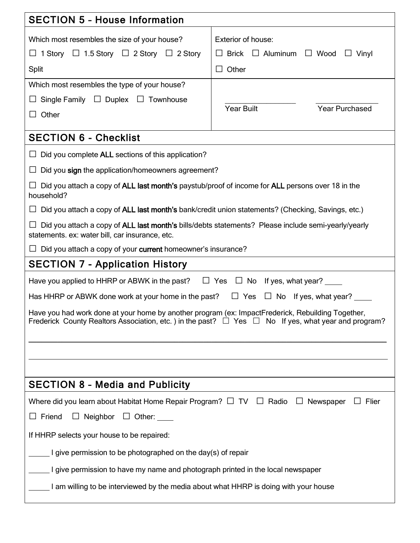| <b>SECTION 5 - House Information</b>                                                                                                                                                                               |                                                                                                       |  |  |
|--------------------------------------------------------------------------------------------------------------------------------------------------------------------------------------------------------------------|-------------------------------------------------------------------------------------------------------|--|--|
| Which most resembles the size of your house?<br>$\Box$ 1 Story $\Box$ 1.5 Story $\Box$ 2 Story $\Box$ 2 Story<br>Split                                                                                             | Exterior of house:<br>Brick $\Box$ Aluminum $\Box$ Wood<br>Vinyl<br>$\Box$<br>Other<br>$\blacksquare$ |  |  |
| Which most resembles the type of your house?<br>$\Box$ Single Family $\Box$ Duplex $\Box$ Townhouse<br>Other<br>$\perp$                                                                                            | <b>Year Built</b><br><b>Year Purchased</b>                                                            |  |  |
| <b>SECTION 6 - Checklist</b>                                                                                                                                                                                       |                                                                                                       |  |  |
| $\Box$ Did you complete ALL sections of this application?                                                                                                                                                          |                                                                                                       |  |  |
| $\Box$ Did you sign the application/homeowners agreement?                                                                                                                                                          |                                                                                                       |  |  |
| Did you attach a copy of ALL last month's paystub/proof of income for ALL persons over 18 in the<br>household?                                                                                                     |                                                                                                       |  |  |
| Did you attach a copy of ALL last month's bank/credit union statements? (Checking, Savings, etc.)                                                                                                                  |                                                                                                       |  |  |
| Did you attach a copy of ALL last month's bills/debts statements? Please include semi-yearly/yearly<br>statements. ex: water bill, car insurance, etc.                                                             |                                                                                                       |  |  |
| Did you attach a copy of your current homeowner's insurance?                                                                                                                                                       |                                                                                                       |  |  |
| <b>SECTION 7 - Application History</b>                                                                                                                                                                             |                                                                                                       |  |  |
| $\Box$ Yes $\Box$ No If yes, what year?<br>Have you applied to HHRP or ABWK in the past?                                                                                                                           |                                                                                                       |  |  |
| Has HHRP or ABWK done work at your home in the past?<br>$\Box$ No If yes, what year?<br>$\Box$ Yes                                                                                                                 |                                                                                                       |  |  |
| Have you had work done at your home by another program (ex: ImpactFrederick, Rebuilding Together,<br>Frederick County Realtors Association, etc.) in the past? $\Box$ Yes $\Box$ No If yes, what year and program? |                                                                                                       |  |  |
|                                                                                                                                                                                                                    |                                                                                                       |  |  |
|                                                                                                                                                                                                                    |                                                                                                       |  |  |
| <b>SECTION 8 - Media and Publicity</b>                                                                                                                                                                             |                                                                                                       |  |  |
| Where did you learn about Habitat Home Repair Program? $\Box$ TV $\Box$ Radio<br>Newspaper<br>Flier<br>$\Box$                                                                                                      |                                                                                                       |  |  |
| $\Box$ Friend<br>Neighbor<br>$\Box$<br>$\Box$ Other: $\Box$                                                                                                                                                        |                                                                                                       |  |  |
| If HHRP selects your house to be repaired:                                                                                                                                                                         |                                                                                                       |  |  |
| I give permission to be photographed on the day(s) of repair                                                                                                                                                       |                                                                                                       |  |  |
| I give permission to have my name and photograph printed in the local newspaper                                                                                                                                    |                                                                                                       |  |  |
| I am willing to be interviewed by the media about what HHRP is doing with your house                                                                                                                               |                                                                                                       |  |  |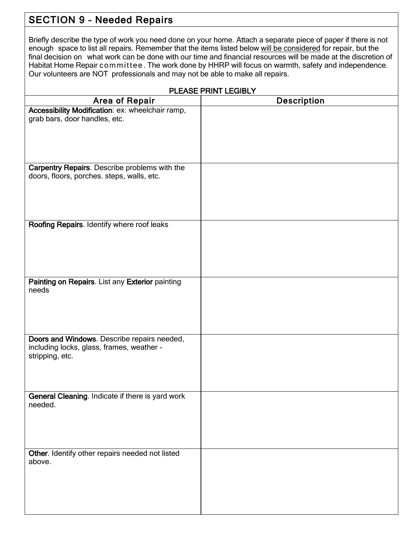## SECTION 9 – Needed Repairs

Briefly describe the type of work you need done on your home. Attach a separate piece of paper if there is not enough space to list all repairs. Remember that the items listed below will be considered for repair, but the final decision on what work can be done with our time and financial resources will be made at the discretion of Habitat Home Repair committee. The work done by HHRP will focus on warmth, safety and independence. Our volunteers are NOT professionals and may not be able to make all repairs.

| PLEASE PRINT LEGIBLY                                                                                        |                    |  |  |
|-------------------------------------------------------------------------------------------------------------|--------------------|--|--|
| Area of Repair                                                                                              | <b>Description</b> |  |  |
| Accessibility Modification: ex: wheelchair ramp,<br>grab bars, door handles, etc.                           |                    |  |  |
| Carpentry Repairs. Describe problems with the<br>doors, floors, porches. steps, walls, etc.                 |                    |  |  |
| Roofing Repairs. Identify where roof leaks                                                                  |                    |  |  |
| Painting on Repairs. List any Exterior painting<br>needs                                                    |                    |  |  |
| Doors and Windows. Describe repairs needed,<br>including locks, glass, frames, weather -<br>stripping, etc. |                    |  |  |
| <b>General Cleaning.</b> Indicate if there is yard work<br>needed.                                          |                    |  |  |
| Other. Identify other repairs needed not listed<br>above.                                                   |                    |  |  |